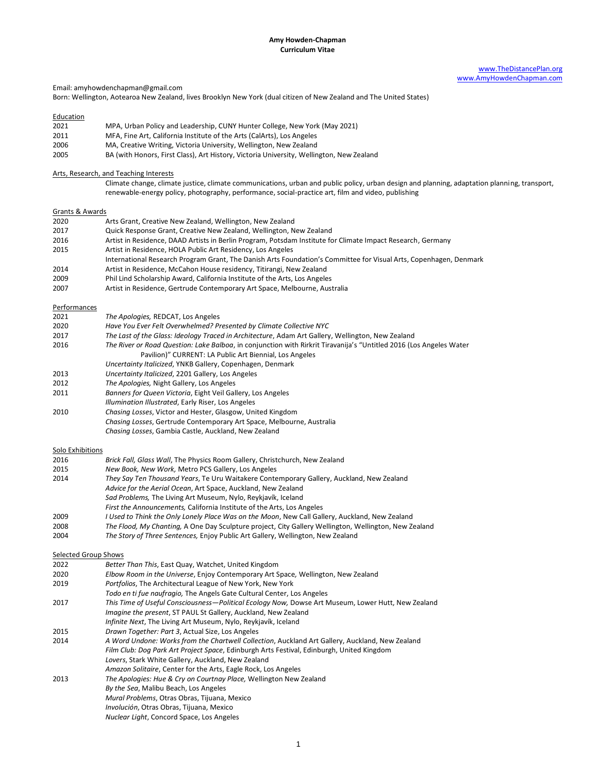# [www.TheDistancePlan.org](http://thedistanceplan.org/) [www.AmyHowdenChapman.com](http://amyhowdenchapman.com/)

Email: amyhowdenchapman@gmail.com

Born: Wellington, Aotearoa New Zealand, lives Brooklyn New York (dual citizen of New Zealand and The United States)

# **Education**

- 2021 MPA, Urban Policy and Leadership, CUNY Hunter College, New York (May 2021)
- 2011 MFA, Fine Art, California Institute of the Arts (CalArts), Los Angeles
- 2006 MA, Creative Writing, Victoria University, Wellington, New Zealand<br>2005 BA (with Honors, First Class), Art History, Victoria University, Wellin
- BA (with Honors, First Class), Art History, Victoria University, Wellington, New Zealand

### Arts, Research, and Teaching Interests

Climate change, climate justice, climate communications, urban and public policy, urban design and planning, adaptation planning, transport, renewable-energy policy, photography, performance, social-practice art, film and video, publishing

## Grants & Awards

| 2020 | Arts Grant, Creative New Zealand, Wellington, New Zealand           |
|------|---------------------------------------------------------------------|
| 2017 | Oujck Response Grant, Creative New Zealand, Wellington, New Zealand |

- 2017 Quick Response Grant, Creative New Zealand, Wellington, New Zealand Artist in Residence, DAAD Artists in Berlin Program, Potsdam Institute for Climate Impact Research, Germany
- 2015 Artist in Residence, HOLA Public Art Residency, Los Angeles
- International Research Program Grant, The Danish Arts Foundation's Committee for Visual Arts, Copenhagen, Denmark
- 2014 Artist in Residence, McCahon House residency, Titirangi, New Zealand
- 2009 Phil Lind Scholarship Award, California Institute of the Arts, Los Angeles
- 2007 Artist in Residence, Gertrude Contemporary Art Space, Melbourne, Australia

### **Performances**

| <b>ULLOITIULICO</b> |                                                                                                                     |
|---------------------|---------------------------------------------------------------------------------------------------------------------|
| 2021                | The Apologies, REDCAT, Los Angeles                                                                                  |
| 2020                | Have You Ever Felt Overwhelmed? Presented by Climate Collective NYC                                                 |
| 2017                | The Last of the Glass: Ideology Traced in Architecture, Adam Art Gallery, Wellington, New Zealand                   |
| 2016                | The River or Road Question: Lake Balboa, in conjunction with Rirkrit Tiravanija's "Untitled 2016 (Los Angeles Water |
|                     | Pavilion)" CURRENT: LA Public Art Biennial, Los Angeles                                                             |
|                     | Uncertainty Italicized, YNKB Gallery, Copenhagen, Denmark                                                           |
| 2013                | Uncertainty Italicized, 2201 Gallery, Los Angeles                                                                   |
| 2012                | The Apologies, Night Gallery, Los Angeles                                                                           |
| 2011                | Banners for Queen Victoria, Eight Veil Gallery, Los Angeles                                                         |
|                     | Illumination Illustrated, Early Riser, Los Angeles                                                                  |
| 2010                | Chasing Losses, Victor and Hester, Glasgow, United Kingdom                                                          |
|                     | Chasing Losses, Gertrude Contemporary Art Space, Melbourne, Australia                                               |
|                     |                                                                                                                     |

*Chasing Losses*, Gambia Castle, Auckland, New Zealand

### Solo Exhibitions

| 2016  | Brick Fall, Glass Wall, The Physics Room Gallery, Christchurch, New Zealand                                                     |
|-------|---------------------------------------------------------------------------------------------------------------------------------|
| 2015  | New Book, New Work, Metro PCS Gallery, Los Angeles                                                                              |
| 2014  | They Say Ten Thousand Years, Te Uru Waitakere Contemporary Gallery, Auckland, New Zealand                                       |
|       | Advice for the Aerial Ocean, Art Space, Auckland, New Zealand                                                                   |
|       | Sad Problems, The Living Art Museum, Nylo, Reykjavík, Iceland                                                                   |
|       | First the Announcements, California Institute of the Arts, Los Angeles                                                          |
| 2009  | I Used to Think the Only Lonely Place Was on the Moon, New Call Gallery, Auckland, New Zealand                                  |
| anno. | $TL \sim L$ and $M_{11}$ $Ch$ antices $A$ $O$ as $D \sim L$ $GL$ interests anticely $GL$ $CH$ and $ML$ $H$ and $ML$ $H$ and $H$ |

- 2008 *The Flood, My Chanting,* A One Day Sculpture project, City Gallery Wellington, Wellington, New Zealand
- 2004 *The Story of Three Sentences,* Enjoy Public Art Gallery, Wellington, New Zealand

#### Selected Group Shows

| 2022 | Better Than This, East Quay, Watchet, United Kingdom                                               |
|------|----------------------------------------------------------------------------------------------------|
| 2020 | Elbow Room in the Universe, Enjoy Contemporary Art Space, Wellington, New Zealand                  |
| 2019 | Portfolios, The Architectural League of New York, New York                                         |
|      | Todo en ti fue naufragio, The Angels Gate Cultural Center, Los Angeles                             |
| 2017 | This Time of Useful Consciousness-Political Ecology Now, Dowse Art Museum, Lower Hutt, New Zealand |
|      | Imagine the present, ST PAUL St Gallery, Auckland, New Zealand                                     |
|      | Infinite Next, The Living Art Museum, Nylo, Reykjavík, Iceland                                     |
| 2015 | Drawn Together: Part 3, Actual Size, Los Angeles                                                   |
| 2014 | A Word Undone: Works from the Chartwell Collection, Auckland Art Gallery, Auckland, New Zealand    |
|      | Film Club: Dog Park Art Project Space, Edinburgh Arts Festival, Edinburgh, United Kingdom          |
|      | Lovers, Stark White Gallery, Auckland, New Zealand                                                 |
|      | Amazon Solitaire, Center for the Arts, Eagle Rock, Los Angeles                                     |
| 2013 | The Apologies: Hue & Cry on Courtnay Place, Wellington New Zealand                                 |
|      | By the Sea, Malibu Beach, Los Angeles                                                              |
|      | Mural Problems, Otras Obras, Tijuana, Mexico                                                       |
|      | Involución, Otras Obras, Tijuana, Mexico                                                           |
|      | Nuclear Light, Concord Space, Los Angeles                                                          |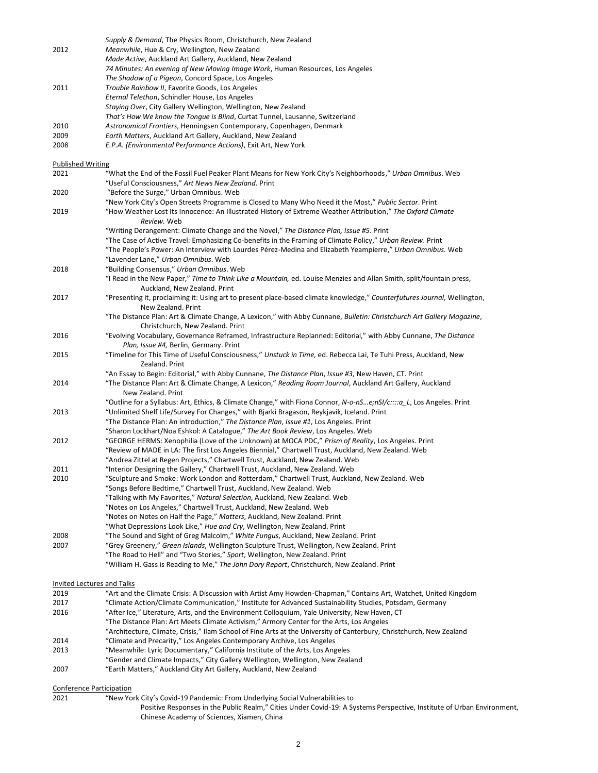*Supply & Demand*, The Physics Room, Christchurch, New Zealand 2012 *Meanwhile*, Hue & Cry, Wellington, New Zealand *Made Active*, Auckland Art Gallery, Auckland, New Zealand *74 Minutes: An evening of New Moving Image Work*, Human Resources, Los Angeles *The Shadow of a Pigeon*, Concord Space, Los Angeles 2011 *Trouble Rainbow II*, Favorite Goods, Los Angeles *Eternal Telethon*, Schindler House, Los Angeles *Staying Over*, City Gallery Wellington, Wellington, New Zealand *That's How We know the Tongue is Blind*, Curtat Tunnel, Lausanne, Switzerland 2010 *Astronomical Frontiers*, Henningsen Contemporary, Copenhagen, Denmark 2009 *Earth Matters*, Auckland Art Gallery, Auckland, New Zealand 2008 *E.P.A. (Environmental Performance Actions)*, Exit Art, New York Published Writing 2021 "What the End of the Fossil Fuel Peaker Plant Means for New York City's Neighborhoods," *Urban Omnibus*. Web "Useful Consciousness," *Art News New Zealand*. Print 2020 "Before the Surge," Urban Omnibus. Web "New York City's Open Streets Programme is Closed to Many Who Need it the Most," *Public Sector*. Print 2019 "How Weather Lost Its Innocence: An Illustrated History of Extreme Weather Attribution," *The Oxford Climate Review.* Web "Writing Derangement: Climate Change and the Novel," *The Distance Plan, Issue #5*. Print "The Case of Active Travel: Emphasizing Co-benefits in the Framing of Climate Policy," *Urban Review*. Print "The People's Power: An Interview with Lourdes Pérez-Medina and Elizabeth Yeampierre," *Urban Omnibus*. Web "Lavender Lane," *Urban Omnibus*. Web 2018 "Building Consensus," *Urban Omnibus*. Web "I Read in the New Paper," *Time to Think Like a Mountain,* ed. Louise Menzies and Allan Smith, split/fountain press, Auckland, New Zealand. Print 2017 "Presenting it, proclaiming it: Using art to present place-based climate knowledge," *Counterfutures Journal*, Wellington, New Zealand. Print "The Distance Plan: Art & Climate Change, A Lexicon," with Abby Cunnane, *Bulletin: Christchurch Art Gallery Magazine*, Christchurch, New Zealand. Print 2016 "Evolving Vocabulary, Governance Reframed, Infrastructure Replanned: Editorial," with Abby Cunnane, *The Distance Plan, Issue #4,* Berlin, Germany. Print 2015 "Timeline for This Time of Useful Consciousness," *Unstuck in Time,* ed. Rebecca Lai, Te Tuhi Press, Auckland, New Zealand. Print "An Essay to Begin: Editorial," with Abby Cunnane, *The Distance Plan*, *Issue #3*, New Haven, CT. Print 2014 "The Distance Plan: Art & Climate Change, A Lexicon," *Reading Room Journal*, Auckland Art Gallery, Auckland New Zealand. Print "Outline for a Syllabus: Art, Ethics, & Climate Change," with Fiona Connor, *N-o-nS…e;nSI/c::::a\_L*, Los Angeles. Print 2013 "Unlimited Shelf Life/Survey For Changes," with Bjarki Bragason, Reykjavik, Iceland. Print "The Distance Plan: An introduction," *The Distance Plan*, *Issue #1*, Los Angeles. Print "Sharon Lockhart/Noa Eshkol: A Catalogue," *The Art Book Review*, Los Angeles. Web 2012 "GEORGE HERMS: Xenophilia (Love of the Unknown) at MOCA PDC," *Prism of Reality*, Los Angeles. Print "Review of MADE in LA: The first Los Angeles Biennial," Chartwell Trust, Auckland, New Zealand. Web "Andrea Zittel at Regen Projects," Chartwell Trust, Auckland, New Zealand. Web 2011 "Interior Designing the Gallery," Chartwell Trust, Auckland, New Zealand. Web 2010 "Sculpture and Smoke: Work London and Rotterdam," Chartwell Trust, Auckland, New Zealand. Web "Songs Before Bedtime," Chartwell Trust, Auckland, New Zealand. Web "Talking with My Favorites," *Natural Selection*, Auckland, New Zealand. Web "Notes on Los Angeles," Chartwell Trust, Auckland, New Zealand. Web "Notes on Notes on Half the Page," *Matters*, Auckland, New Zealand. Print "What Depressions Look Like," *Hue and Cry*, Wellington, New Zealand. Print 2008 "The Sound and Sight of Greg Malcolm," *White Fungus*, Auckland, New Zealand. Print 2007 "Grey Greenery," *Green Islands*, Wellington Sculpture Trust, Wellington, New Zealand. Print "The Road to Hell" and "Two Stories," *Sport*, Wellington, New Zealand. Print "William H. Gass is Reading to Me," *The John Dory Report*, Christchurch, New Zealand. Print Invited Lectures and Talks 2019 "Art and the Climate Crisis: A Discussion with Artist Amy Howden-Chapman," Contains Art, Watchet, United Kingdom 2017 "Climate Action/Climate Communication," Institute for Advanced Sustainability Studies, Potsdam, Germany 2016 "After Ice," Literature, Arts, and the Environment Colloquium, Yale University, New Haven, CT "The Distance Plan: Art Meets Climate Activism," Armory Center for the Arts, Los Angeles "Architecture, Climate, Crisis," Ilam School of Fine Arts at the University of Canterbury, Christchurch, New Zealand 2014 "Climate and Precarity," Los Angeles Contemporary Archive, Los Angeles 2013 "Meanwhile: Lyric Documentary," California Institute of the Arts, Los Angeles "Gender and Climate Impacts," City Gallery Wellington, Wellington, New Zealand 2007 "Earth Matters," Auckland City Art Gallery, Auckland, New Zealand

## Conference Participation

2021 "New York City's Covid-19 Pandemic: From Underlying Social Vulnerabilities to Positive Responses in the Public Realm," Cities Under Covid-19: A Systems Perspective, Institute of Urban Environment, Chinese Academy of Sciences, Xiamen, China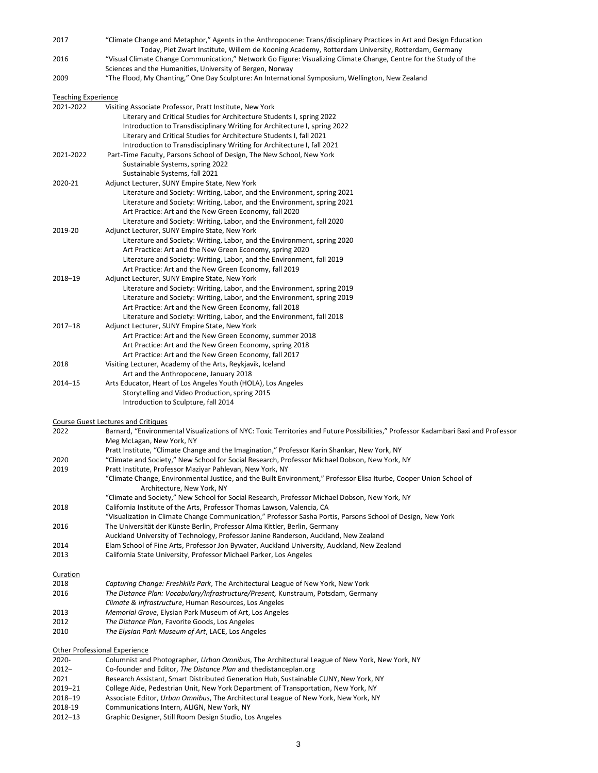| 2017                                 | "Climate Change and Metaphor," Agents in the Anthropocene: Trans/disciplinary Practices in Art and Design Education<br>Today, Piet Zwart Institute, Willem de Kooning Academy, Rotterdam University, Rotterdam, Germany |
|--------------------------------------|-------------------------------------------------------------------------------------------------------------------------------------------------------------------------------------------------------------------------|
| 2016                                 | "Visual Climate Change Communication," Network Go Figure: Visualizing Climate Change, Centre for the Study of the<br>Sciences and the Humanities, University of Bergen, Norway                                          |
| 2009                                 | The Flood, My Chanting," One Day Sculpture: An International Symposium, Wellington, New Zealand"                                                                                                                        |
| <b>Teaching Experience</b>           |                                                                                                                                                                                                                         |
| 2021-2022                            | Visiting Associate Professor, Pratt Institute, New York                                                                                                                                                                 |
|                                      | Literary and Critical Studies for Architecture Students I, spring 2022                                                                                                                                                  |
|                                      | Introduction to Transdisciplinary Writing for Architecture I, spring 2022                                                                                                                                               |
|                                      | Literary and Critical Studies for Architecture Students I, fall 2021                                                                                                                                                    |
|                                      | Introduction to Transdisciplinary Writing for Architecture I, fall 2021                                                                                                                                                 |
| 2021-2022                            | Part-Time Faculty, Parsons School of Design, The New School, New York                                                                                                                                                   |
|                                      | Sustainable Systems, spring 2022                                                                                                                                                                                        |
| 2020-21                              | Sustainable Systems, fall 2021<br>Adjunct Lecturer, SUNY Empire State, New York                                                                                                                                         |
|                                      | Literature and Society: Writing, Labor, and the Environment, spring 2021                                                                                                                                                |
|                                      | Literature and Society: Writing, Labor, and the Environment, spring 2021                                                                                                                                                |
|                                      | Art Practice: Art and the New Green Economy, fall 2020                                                                                                                                                                  |
|                                      | Literature and Society: Writing, Labor, and the Environment, fall 2020                                                                                                                                                  |
| 2019-20                              | Adjunct Lecturer, SUNY Empire State, New York                                                                                                                                                                           |
|                                      | Literature and Society: Writing, Labor, and the Environment, spring 2020                                                                                                                                                |
|                                      | Art Practice: Art and the New Green Economy, spring 2020                                                                                                                                                                |
|                                      | Literature and Society: Writing, Labor, and the Environment, fall 2019                                                                                                                                                  |
|                                      | Art Practice: Art and the New Green Economy, fall 2019                                                                                                                                                                  |
| 2018-19                              | Adjunct Lecturer, SUNY Empire State, New York                                                                                                                                                                           |
|                                      | Literature and Society: Writing, Labor, and the Environment, spring 2019                                                                                                                                                |
|                                      | Literature and Society: Writing, Labor, and the Environment, spring 2019<br>Art Practice: Art and the New Green Economy, fall 2018                                                                                      |
|                                      | Literature and Society: Writing, Labor, and the Environment, fall 2018                                                                                                                                                  |
| $2017 - 18$                          | Adjunct Lecturer, SUNY Empire State, New York                                                                                                                                                                           |
|                                      | Art Practice: Art and the New Green Economy, summer 2018                                                                                                                                                                |
|                                      | Art Practice: Art and the New Green Economy, spring 2018                                                                                                                                                                |
|                                      | Art Practice: Art and the New Green Economy, fall 2017                                                                                                                                                                  |
| 2018                                 | Visiting Lecturer, Academy of the Arts, Reykjavik, Iceland                                                                                                                                                              |
|                                      | Art and the Anthropocene, January 2018                                                                                                                                                                                  |
| 2014-15                              | Arts Educator, Heart of Los Angeles Youth (HOLA), Los Angeles                                                                                                                                                           |
|                                      | Storytelling and Video Production, spring 2015<br>Introduction to Sculpture, fall 2014                                                                                                                                  |
|                                      |                                                                                                                                                                                                                         |
|                                      | Course Guest Lectures and Critiques                                                                                                                                                                                     |
| 2022                                 | Barnard, "Environmental Visualizations of NYC: Toxic Territories and Future Possibilities," Professor Kadambari Baxi and Professor                                                                                      |
|                                      | Meg McLagan, New York, NY                                                                                                                                                                                               |
|                                      | Pratt Institute, "Climate Change and the Imagination," Professor Karin Shankar, New York, NY                                                                                                                            |
| 2020                                 | "Climate and Society," New School for Social Research, Professor Michael Dobson, New York, NY                                                                                                                           |
| 2019                                 | Pratt Institute, Professor Maziyar Pahlevan, New York, NY<br>"Climate Change, Environmental Justice, and the Built Environment," Professor Elisa Iturbe, Cooper Union School of                                         |
|                                      | Architecture, New York, NY                                                                                                                                                                                              |
|                                      | "Climate and Society," New School for Social Research, Professor Michael Dobson, New York, NY                                                                                                                           |
| 2018                                 | California Institute of the Arts, Professor Thomas Lawson, Valencia, CA                                                                                                                                                 |
|                                      | "Visualization in Climate Change Communication," Professor Sasha Portis, Parsons School of Design, New York                                                                                                             |
| 2016                                 | The Universität der Künste Berlin, Professor Alma Kittler, Berlin, Germany                                                                                                                                              |
|                                      | Auckland University of Technology, Professor Janine Randerson, Auckland, New Zealand                                                                                                                                    |
| 2014                                 | Elam School of Fine Arts, Professor Jon Bywater, Auckland University, Auckland, New Zealand                                                                                                                             |
| 2013                                 | California State University, Professor Michael Parker, Los Angeles                                                                                                                                                      |
| <b>Curation</b>                      |                                                                                                                                                                                                                         |
| 2018                                 | Capturing Change: Freshkills Park, The Architectural League of New York, New York                                                                                                                                       |
| 2016                                 | The Distance Plan: Vocabulary/Infrastructure/Present, Kunstraum, Potsdam, Germany                                                                                                                                       |
|                                      | Climate & Infrastructure, Human Resources, Los Angeles                                                                                                                                                                  |
| 2013                                 | Memorial Grove, Elysian Park Museum of Art, Los Angeles                                                                                                                                                                 |
| 2012                                 | The Distance Plan, Favorite Goods, Los Angeles                                                                                                                                                                          |
| 2010                                 | The Elysian Park Museum of Art, LACE, Los Angeles                                                                                                                                                                       |
| <b>Other Professional Experience</b> |                                                                                                                                                                                                                         |
| 2020-                                | Columnist and Photographer, Urban Omnibus, The Architectural League of New York, New York, NY                                                                                                                           |
| $2012 -$                             | Co-founder and Editor, The Distance Plan and thedistanceplan.org                                                                                                                                                        |
| 2021                                 | Research Assistant, Smart Distributed Generation Hub, Sustainable CUNY, New York, NY                                                                                                                                    |
| 2019-21                              | College Aide, Pedestrian Unit, New York Department of Transportation, New York, NY                                                                                                                                      |
| 2018-19                              | Associate Editor, Urban Omnibus, The Architectural League of New York, New York, NY                                                                                                                                     |
| 2018-19                              | Communications Intern, ALIGN, New York, NY                                                                                                                                                                              |

2012–13 Graphic Designer, Still Room Design Studio, Los Angeles